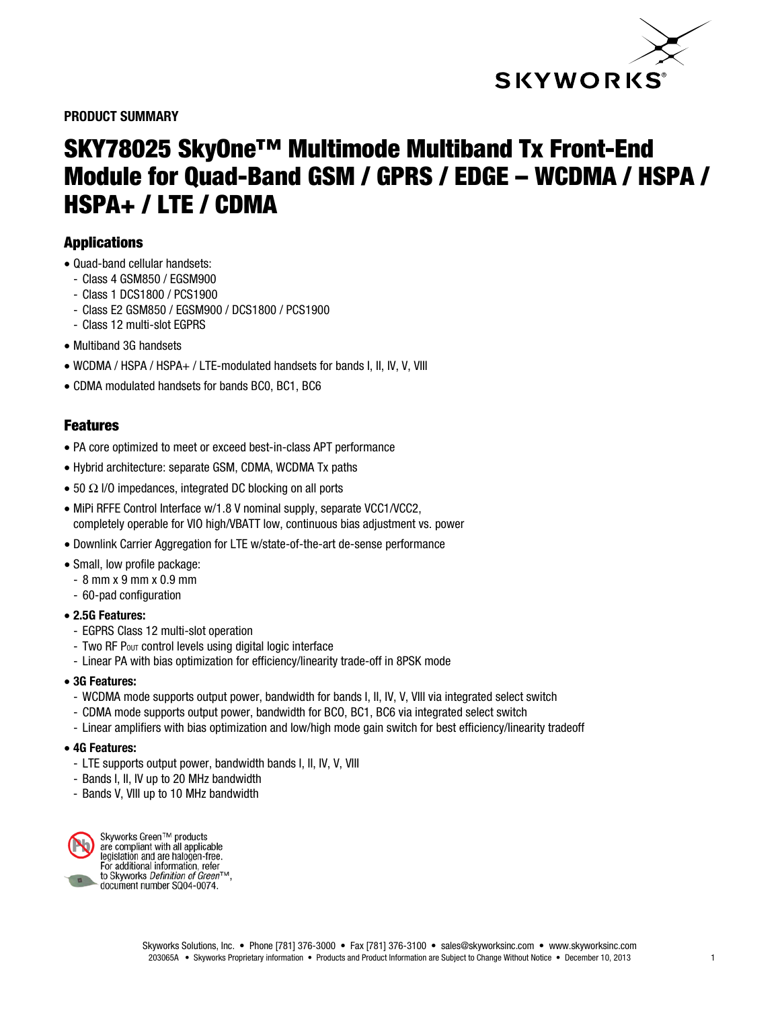

PRODUCT SUMMARY

# SKY78025 SkyOne™ Multimode Multiband Tx Front-End Module for Quad-Band GSM / GPRS / EDGE – WCDMA / HSPA / HSPA+ / LTE / CDMA

## Applications

- Quad-band cellular handsets:
	- Class 4 GSM850 / EGSM900
	- Class 1 DCS1800 / PCS1900
	- Class E2 GSM850 / EGSM900 / DCS1800 / PCS1900
	- Class 12 multi-slot EGPRS
- Multiband 3G handsets
- WCDMA / HSPA / HSPA+ / LTE-modulated handsets for bands I, II, IV, V, VIII
- CDMA modulated handsets for bands BC0, BC1, BC6

## Features

- PA core optimized to meet or exceed best-in-class APT performance
- Hybrid architecture: separate GSM, CDMA, WCDMA Tx paths
- 50  $\Omega$  I/O impedances, integrated DC blocking on all ports
- MiPi RFFE Control Interface w/1.8 V nominal supply, separate VCC1/VCC2, completely operable for VIO high/VBATT low, continuous bias adjustment vs. power
- Downlink Carrier Aggregation for LTE w/state-of-the-art de-sense performance
- Small, low profile package:
- 8 mm x 9 mm x 0.9 mm
- 60-pad configuration
- 2.5G Features:
	- EGPRS Class 12 multi-slot operation
	- Two RF Pout control levels using digital logic interface
	- Linear PA with bias optimization for efficiency/linearity trade-off in 8PSK mode
- 3G Features:
	- WCDMA mode supports output power, bandwidth for bands I, II, IV, V, VIII via integrated select switch
	- CDMA mode supports output power, bandwidth for BCO, BC1, BC6 via integrated select switch
	- Linear amplifiers with bias optimization and low/high mode gain switch for best efficiency/linearity tradeoff

#### • 4G Features:

- LTE supports output power, bandwidth bands I, II, IV, V, VIII
- Bands I, II, IV up to 20 MHz bandwidth
- Bands V, VIII up to 10 MHz bandwidth



Skyworks Green™ products<br>are compliant with all applicable<br>legislation and are halogen-free.<br>For additional information, refer\_ to Skyworks *Definition of Green*™. document number SQ04-0074.